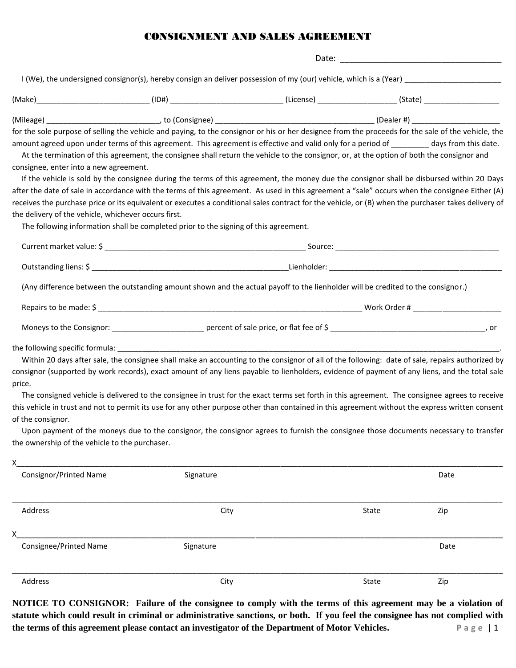## CONSIGNMENT AND SALES AGREEMENT

|                                                                                                |                                                                                                                                  |  | (Make)_______________________________(ID#) _______________________________(License) _________________________(State) __________________                                                                                                                                                                                                                                                                                                                                                                                                                                                                                                                                                                                                                                                                                                                                                               |  |
|------------------------------------------------------------------------------------------------|----------------------------------------------------------------------------------------------------------------------------------|--|-------------------------------------------------------------------------------------------------------------------------------------------------------------------------------------------------------------------------------------------------------------------------------------------------------------------------------------------------------------------------------------------------------------------------------------------------------------------------------------------------------------------------------------------------------------------------------------------------------------------------------------------------------------------------------------------------------------------------------------------------------------------------------------------------------------------------------------------------------------------------------------------------------|--|
|                                                                                                |                                                                                                                                  |  |                                                                                                                                                                                                                                                                                                                                                                                                                                                                                                                                                                                                                                                                                                                                                                                                                                                                                                       |  |
| consignee, enter into a new agreement.<br>the delivery of the vehicle, whichever occurs first. |                                                                                                                                  |  | for the sole purpose of selling the vehicle and paying, to the consignor or his or her designee from the proceeds for the sale of the vehicle, the<br>amount agreed upon under terms of this agreement. This agreement is effective and valid only for a period of _________ days from this date.<br>At the termination of this agreement, the consignee shall return the vehicle to the consignor, or, at the option of both the consignor and<br>If the vehicle is sold by the consignee during the terms of this agreement, the money due the consignor shall be disbursed within 20 Days<br>after the date of sale in accordance with the terms of this agreement. As used in this agreement a "sale" occurs when the consignee Either (A)<br>receives the purchase price or its equivalent or executes a conditional sales contract for the vehicle, or (B) when the purchaser takes delivery of |  |
|                                                                                                | The following information shall be completed prior to the signing of this agreement.                                             |  |                                                                                                                                                                                                                                                                                                                                                                                                                                                                                                                                                                                                                                                                                                                                                                                                                                                                                                       |  |
|                                                                                                |                                                                                                                                  |  |                                                                                                                                                                                                                                                                                                                                                                                                                                                                                                                                                                                                                                                                                                                                                                                                                                                                                                       |  |
|                                                                                                |                                                                                                                                  |  |                                                                                                                                                                                                                                                                                                                                                                                                                                                                                                                                                                                                                                                                                                                                                                                                                                                                                                       |  |
|                                                                                                | (Any difference between the outstanding amount shown and the actual payoff to the lienholder will be credited to the consignor.) |  |                                                                                                                                                                                                                                                                                                                                                                                                                                                                                                                                                                                                                                                                                                                                                                                                                                                                                                       |  |
|                                                                                                |                                                                                                                                  |  |                                                                                                                                                                                                                                                                                                                                                                                                                                                                                                                                                                                                                                                                                                                                                                                                                                                                                                       |  |
|                                                                                                |                                                                                                                                  |  |                                                                                                                                                                                                                                                                                                                                                                                                                                                                                                                                                                                                                                                                                                                                                                                                                                                                                                       |  |
| price.<br>of the consignor.<br>the ownership of the vehicle to the purchaser.                  |                                                                                                                                  |  | Within 20 days after sale, the consignee shall make an accounting to the consignor of all of the following: date of sale, repairs authorized by<br>consignor (supported by work records), exact amount of any liens payable to lienholders, evidence of payment of any liens, and the total sale<br>The consigned vehicle is delivered to the consignee in trust for the exact terms set forth in this agreement. The consignee agrees to receive<br>this vehicle in trust and not to permit its use for any other purpose other than contained in this agreement without the express written consent<br>Upon payment of the moneys due to the consignor, the consignor agrees to furnish the consignee those documents necessary to transfer                                                                                                                                                         |  |
| x                                                                                              |                                                                                                                                  |  |                                                                                                                                                                                                                                                                                                                                                                                                                                                                                                                                                                                                                                                                                                                                                                                                                                                                                                       |  |
| <b>Consignor/Printed Name</b>                                                                  | Signature                                                                                                                        |  | Date                                                                                                                                                                                                                                                                                                                                                                                                                                                                                                                                                                                                                                                                                                                                                                                                                                                                                                  |  |
| Address                                                                                        | City                                                                                                                             |  | State<br>Zip                                                                                                                                                                                                                                                                                                                                                                                                                                                                                                                                                                                                                                                                                                                                                                                                                                                                                          |  |
| х<br>Consignee/Printed Name                                                                    | Signature                                                                                                                        |  | Date                                                                                                                                                                                                                                                                                                                                                                                                                                                                                                                                                                                                                                                                                                                                                                                                                                                                                                  |  |

\_\_\_\_\_\_\_\_\_\_\_\_\_\_\_\_\_\_\_\_\_\_\_\_\_\_\_\_\_\_\_\_\_\_\_\_\_\_\_\_\_\_\_\_\_\_\_\_\_\_\_\_\_\_\_\_\_\_\_\_\_\_\_\_\_\_\_\_\_\_\_\_\_\_\_\_\_\_\_\_\_\_\_\_\_\_\_\_\_\_\_\_\_\_\_\_\_\_\_\_\_\_\_\_\_\_\_\_\_\_\_\_\_\_\_\_\_ Address City State Zip

**NOTICE TO CONSIGNOR: Failure of the consignee to comply with the terms of this agreement may be a violation of statute which could result in criminal or administrative sanctions, or both. If you feel the consignee has not complied with the terms of this agreement please contact an investigator of the Department of Motor Vehicles. P a g e** | 1